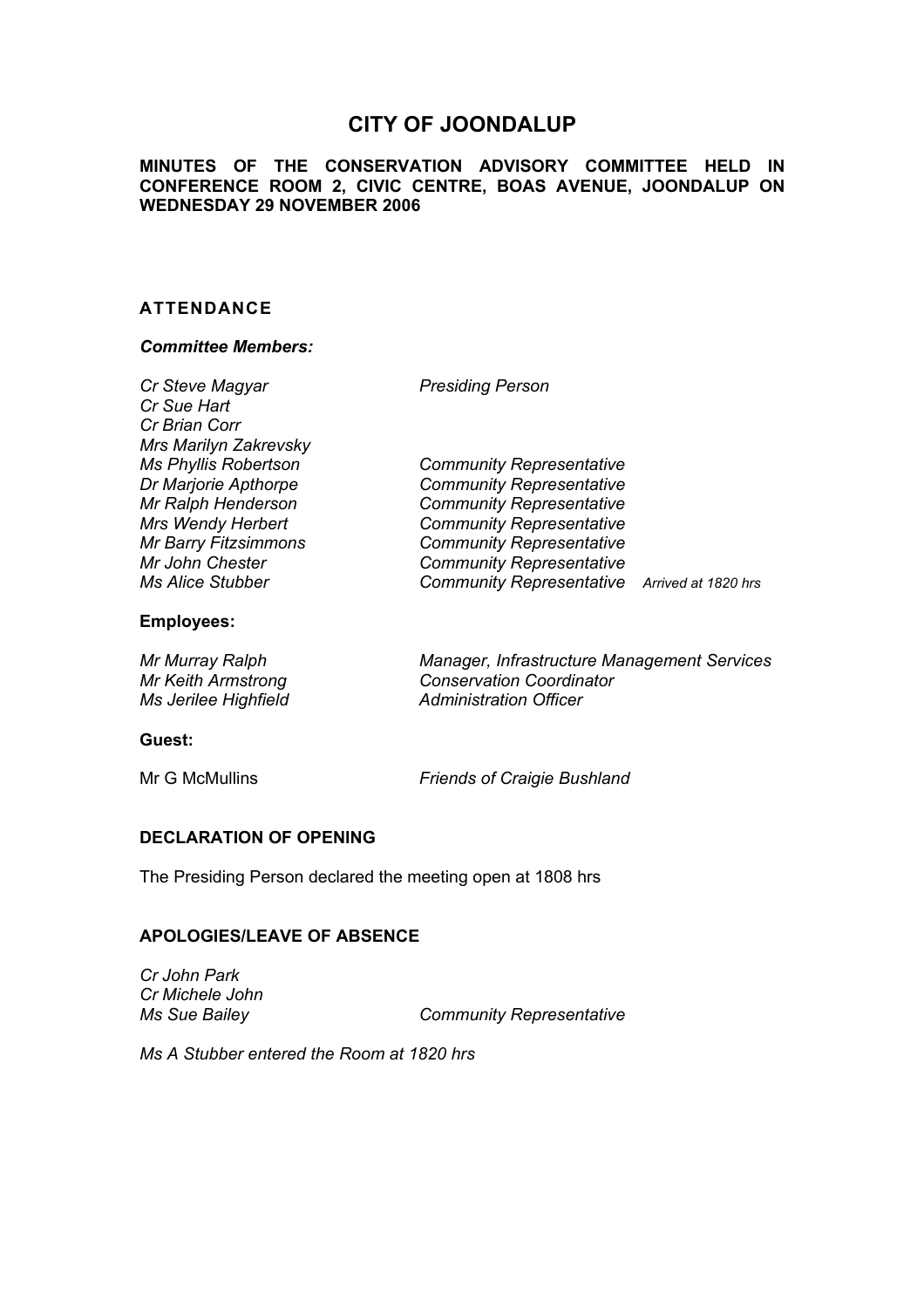# **CITY OF JOONDALUP**

### **MINUTES OF THE CONSERVATION ADVISORY COMMITTEE HELD IN CONFERENCE ROOM 2, CIVIC CENTRE, BOAS AVENUE, JOONDALUP ON WEDNESDAY 29 NOVEMBER 2006**

### **ATTENDANCE**

#### *Committee Members:*

| Cr Steve Magyar<br>Cr Sue Hart<br>Cr Brian Corr<br>Mrs Marilyn Zakrevsky                                                                                                    | <b>Presiding Person</b>                                                                                                                                                                                                                                        |  |
|-----------------------------------------------------------------------------------------------------------------------------------------------------------------------------|----------------------------------------------------------------------------------------------------------------------------------------------------------------------------------------------------------------------------------------------------------------|--|
| <b>Ms Phyllis Robertson</b><br>Dr Marjorie Apthorpe<br>Mr Ralph Henderson<br><b>Mrs Wendy Herbert</b><br><b>Mr Barry Fitzsimmons</b><br>Mr John Chester<br>Ms Alice Stubber | <b>Community Representative</b><br><b>Community Representative</b><br><b>Community Representative</b><br><b>Community Representative</b><br><b>Community Representative</b><br><b>Community Representative</b><br>Community Representative Arrived at 1820 hrs |  |

#### **Employees:**

| Mr Murray Ralph      | Manager, Infrastructure Management Services |
|----------------------|---------------------------------------------|
| Mr Keith Armstrong   | <b>Conservation Coordinator</b>             |
| Ms Jerilee Highfield | <b>Administration Officer</b>               |

#### **Guest:**

Mr G McMullins *Friends of Craigie Bushland* 

## **DECLARATION OF OPENING**

The Presiding Person declared the meeting open at 1808 hrs

#### **APOLOGIES/LEAVE OF ABSENCE**

*Cr John Park Cr Michele John* 

**Community Representative** 

*Ms A Stubber entered the Room at 1820 hrs*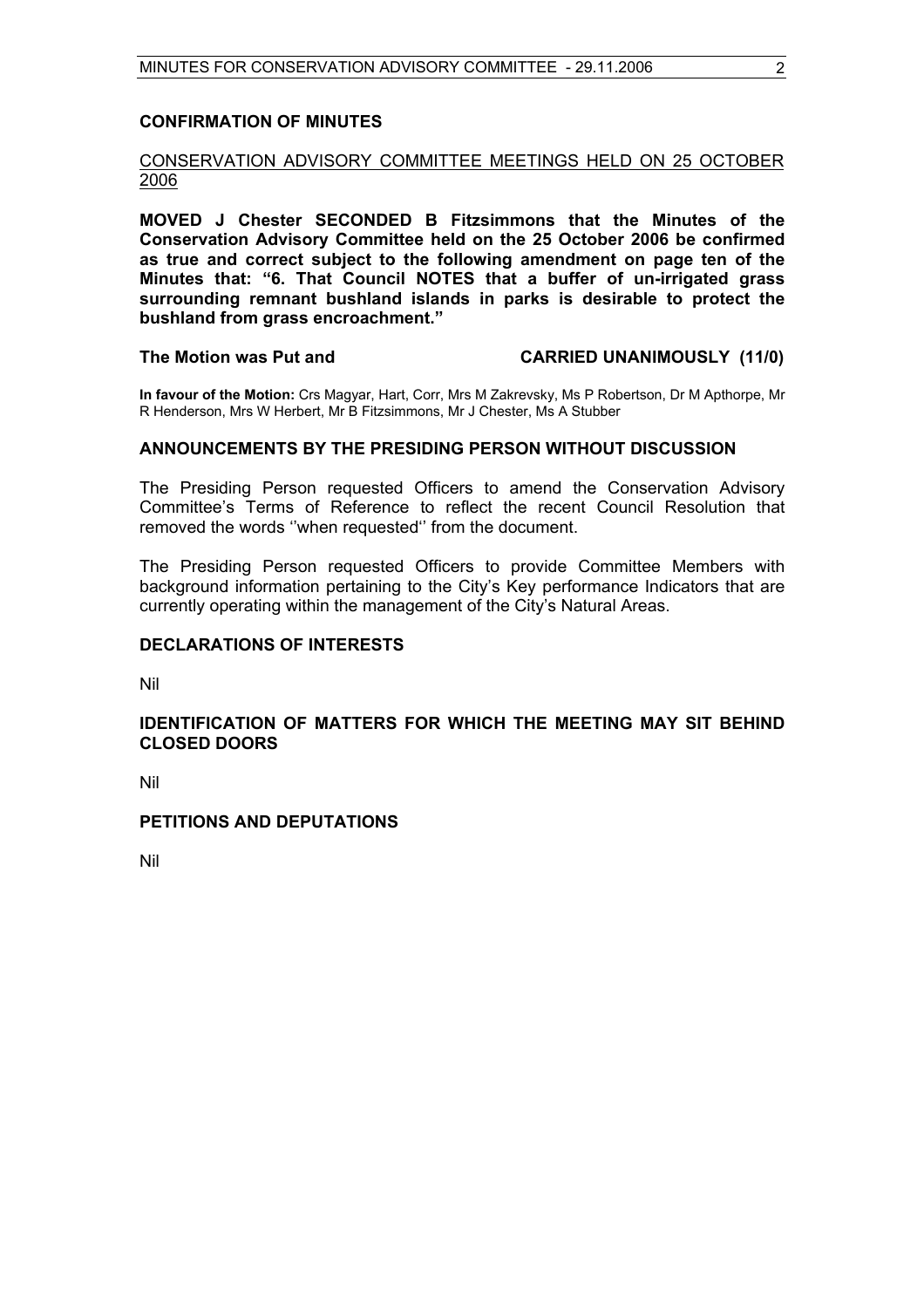#### **CONFIRMATION OF MINUTES**

### CONSERVATION ADVISORY COMMITTEE MEETINGS HELD ON 25 OCTOBER 2006

**MOVED J Chester SECONDED B Fitzsimmons that the Minutes of the Conservation Advisory Committee held on the 25 October 2006 be confirmed as true and correct subject to the following amendment on page ten of the Minutes that: "6. That Council NOTES that a buffer of un-irrigated grass surrounding remnant bushland islands in parks is desirable to protect the bushland from grass encroachment."** 

#### **The Motion was Put and CARRIED UNANIMOUSLY (11/0)**

**In favour of the Motion:** Crs Magyar, Hart, Corr, Mrs M Zakrevsky, Ms P Robertson, Dr M Apthorpe, Mr R Henderson, Mrs W Herbert, Mr B Fitzsimmons, Mr J Chester, Ms A Stubber

#### **ANNOUNCEMENTS BY THE PRESIDING PERSON WITHOUT DISCUSSION**

The Presiding Person requested Officers to amend the Conservation Advisory Committee's Terms of Reference to reflect the recent Council Resolution that removed the words ''when requested'' from the document.

The Presiding Person requested Officers to provide Committee Members with background information pertaining to the City's Key performance Indicators that are currently operating within the management of the City's Natural Areas.

#### **DECLARATIONS OF INTERESTS**

Nil

#### **IDENTIFICATION OF MATTERS FOR WHICH THE MEETING MAY SIT BEHIND CLOSED DOORS**

Nil

# **PETITIONS AND DEPUTATIONS**

Nil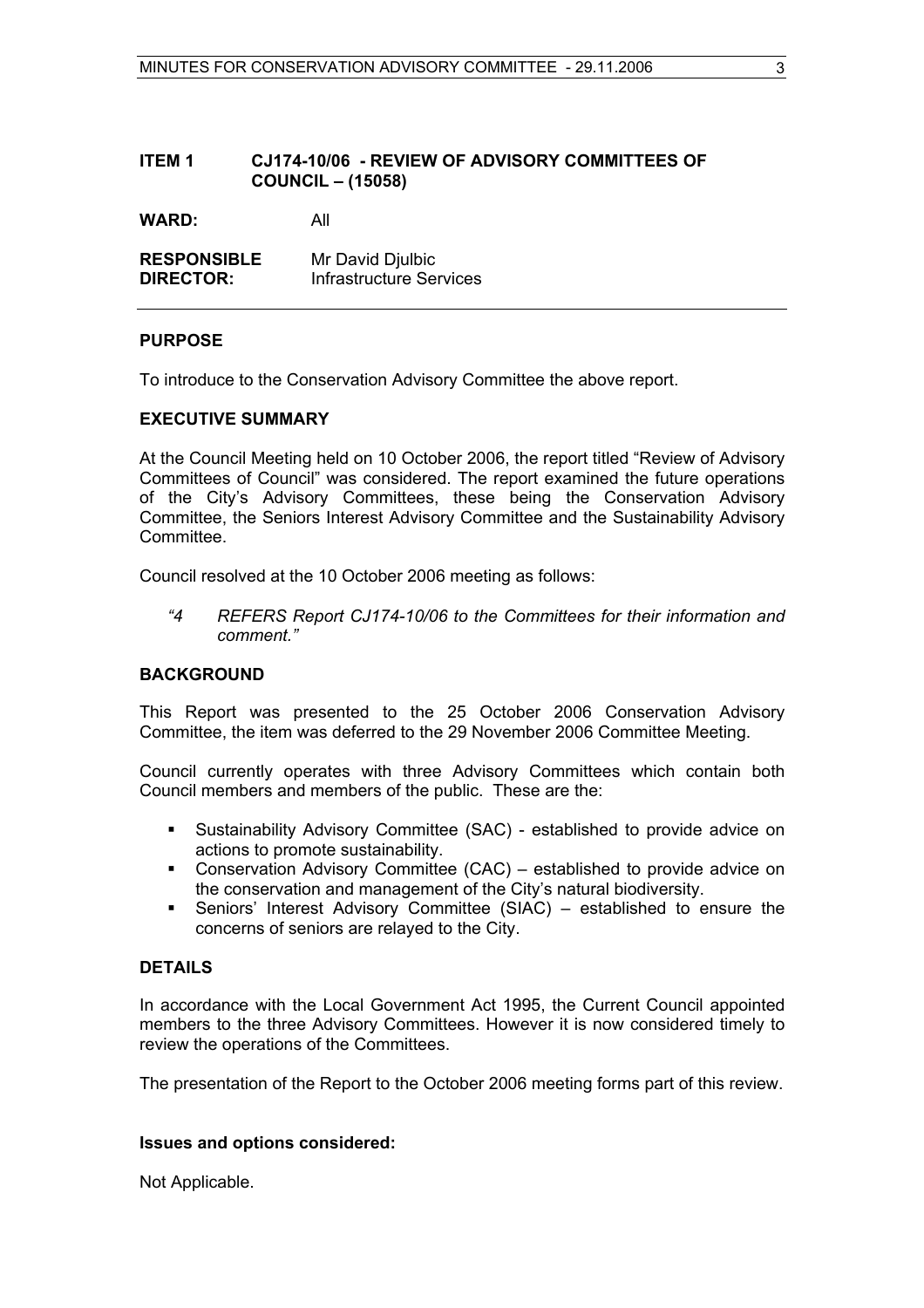#### **ITEM 1 CJ174-10/06 - REVIEW OF ADVISORY COMMITTEES OF COUNCIL – (15058)**

**WARD:** All

**RESPONSIBLE** Mr David Djulbic **DIRECTOR:** Infrastructure Services

#### **PURPOSE**

To introduce to the Conservation Advisory Committee the above report.

#### **EXECUTIVE SUMMARY**

At the Council Meeting held on 10 October 2006, the report titled "Review of Advisory Committees of Council" was considered. The report examined the future operations of the City's Advisory Committees, these being the Conservation Advisory Committee, the Seniors Interest Advisory Committee and the Sustainability Advisory Committee.

Council resolved at the 10 October 2006 meeting as follows:

 *"4 REFERS Report CJ174-10/06 to the Committees for their information and comment."* 

#### **BACKGROUND**

This Report was presented to the 25 October 2006 Conservation Advisory Committee, the item was deferred to the 29 November 2006 Committee Meeting.

Council currently operates with three Advisory Committees which contain both Council members and members of the public. These are the:

- Sustainability Advisory Committee (SAC) established to provide advice on actions to promote sustainability.
- Conservation Advisory Committee (CAC) established to provide advice on the conservation and management of the City's natural biodiversity.
- Seniors' Interest Advisory Committee (SIAC) established to ensure the concerns of seniors are relayed to the City.

### **DETAILS**

In accordance with the Local Government Act 1995, the Current Council appointed members to the three Advisory Committees. However it is now considered timely to review the operations of the Committees.

The presentation of the Report to the October 2006 meeting forms part of this review.

### **Issues and options considered:**

Not Applicable.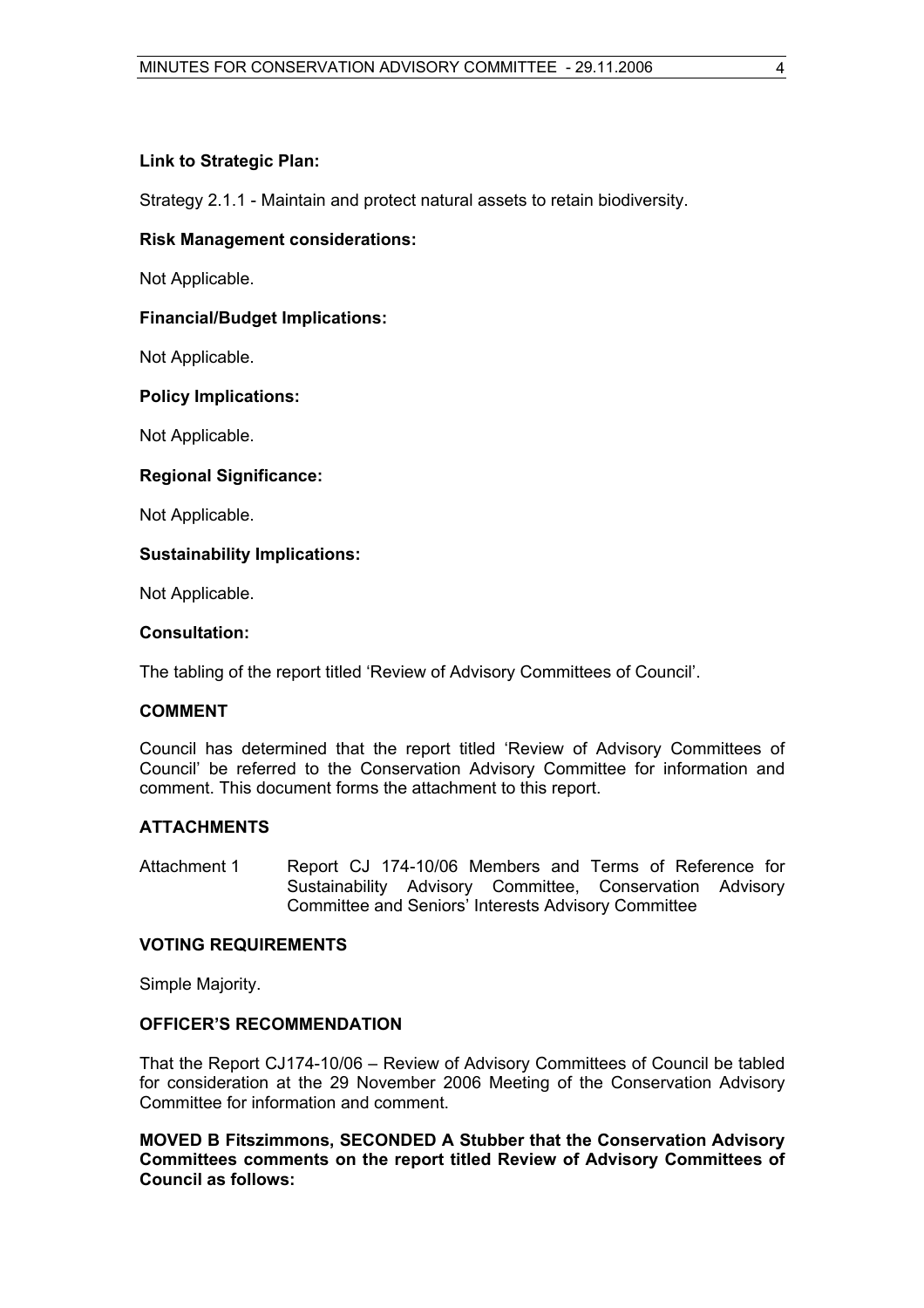#### **Link to Strategic Plan:**

Strategy 2.1.1 - Maintain and protect natural assets to retain biodiversity.

#### **Risk Management considerations:**

Not Applicable.

#### **Financial/Budget Implications:**

Not Applicable.

#### **Policy Implications:**

Not Applicable.

#### **Regional Significance:**

Not Applicable.

#### **Sustainability Implications:**

Not Applicable.

#### **Consultation:**

The tabling of the report titled 'Review of Advisory Committees of Council'.

#### **COMMENT**

Council has determined that the report titled 'Review of Advisory Committees of Council' be referred to the Conservation Advisory Committee for information and comment. This document forms the attachment to this report.

#### **ATTACHMENTS**

Attachment 1 Report CJ 174-10/06 Members and Terms of Reference for Sustainability Advisory Committee, Conservation Advisory Committee and Seniors' Interests Advisory Committee

#### **VOTING REQUIREMENTS**

Simple Majority.

#### **OFFICER'S RECOMMENDATION**

That the Report CJ174-10/06 – Review of Advisory Committees of Council be tabled for consideration at the 29 November 2006 Meeting of the Conservation Advisory Committee for information and comment.

**MOVED B Fitszimmons, SECONDED A Stubber that the Conservation Advisory Committees comments on the report titled Review of Advisory Committees of Council as follows:**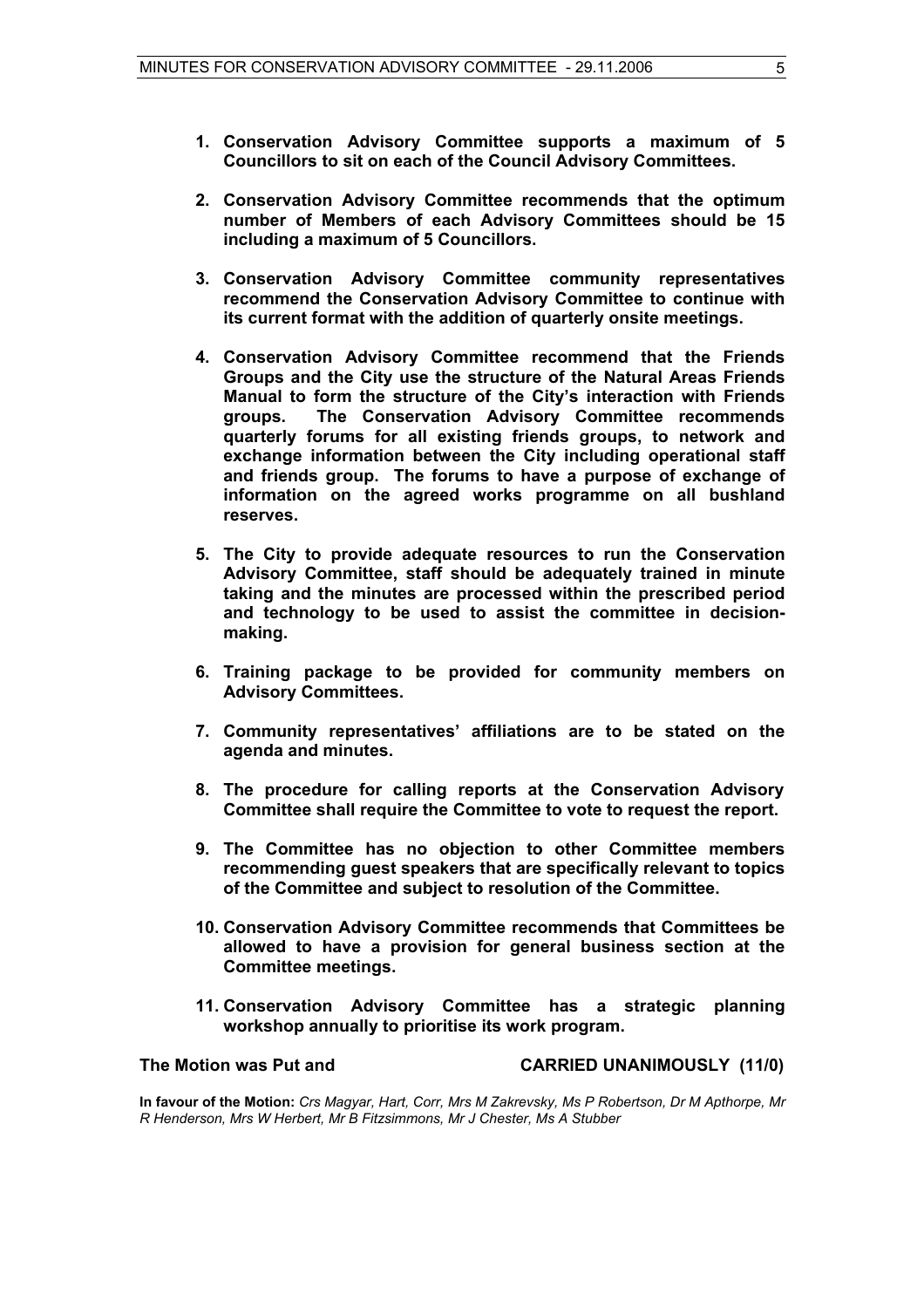- **1. Conservation Advisory Committee supports a maximum of 5 Councillors to sit on each of the Council Advisory Committees.**
- **2. Conservation Advisory Committee recommends that the optimum number of Members of each Advisory Committees should be 15 including a maximum of 5 Councillors.**
- **3. Conservation Advisory Committee community representatives recommend the Conservation Advisory Committee to continue with its current format with the addition of quarterly onsite meetings.**
- **4. Conservation Advisory Committee recommend that the Friends Groups and the City use the structure of the Natural Areas Friends Manual to form the structure of the City's interaction with Friends groups. The Conservation Advisory Committee recommends quarterly forums for all existing friends groups, to network and exchange information between the City including operational staff and friends group. The forums to have a purpose of exchange of information on the agreed works programme on all bushland reserves.**
- **5. The City to provide adequate resources to run the Conservation Advisory Committee, staff should be adequately trained in minute taking and the minutes are processed within the prescribed period and technology to be used to assist the committee in decisionmaking.**
- **6. Training package to be provided for community members on Advisory Committees.**
- **7. Community representatives' affiliations are to be stated on the agenda and minutes.**
- **8. The procedure for calling reports at the Conservation Advisory Committee shall require the Committee to vote to request the report.**
- **9. The Committee has no objection to other Committee members recommending guest speakers that are specifically relevant to topics of the Committee and subject to resolution of the Committee.**
- **10. Conservation Advisory Committee recommends that Committees be allowed to have a provision for general business section at the Committee meetings.**
- **11. Conservation Advisory Committee has a strategic planning workshop annually to prioritise its work program.**

#### **The Motion was Put and CARRIED UNANIMOUSLY (11/0)**

**In favour of the Motion:** *Crs Magyar, Hart, Corr, Mrs M Zakrevsky, Ms P Robertson, Dr M Apthorpe, Mr R Henderson, Mrs W Herbert, Mr B Fitzsimmons, Mr J Chester, Ms A Stubber*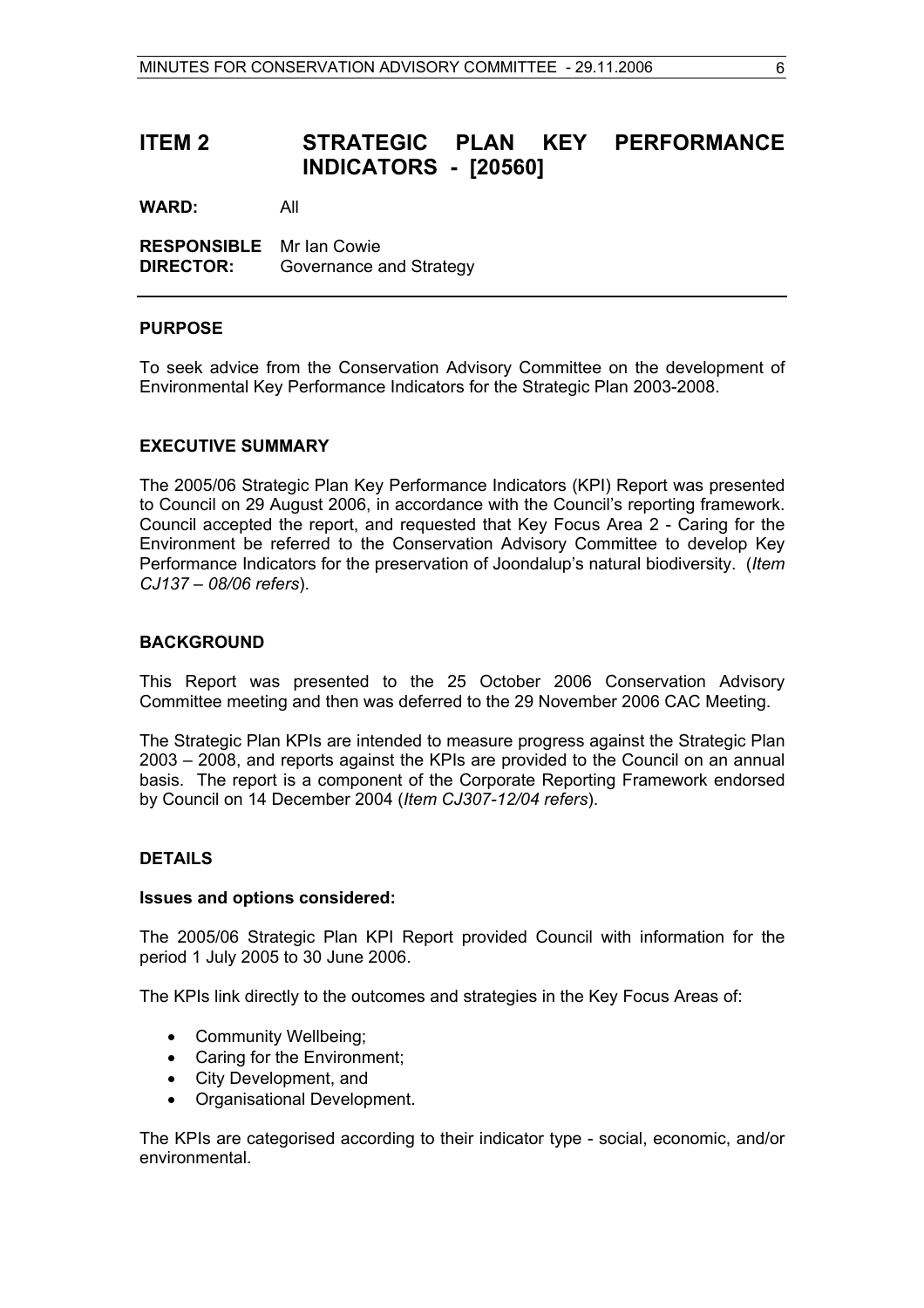# **ITEM 2 STRATEGIC PLAN KEY PERFORMANCE INDICATORS - [20560]**

**WARD:** All

**RESPONSIBLE** Mr Ian Cowie **DIRECTOR:** Governance and Strategy

#### **PURPOSE**

To seek advice from the Conservation Advisory Committee on the development of Environmental Key Performance Indicators for the Strategic Plan 2003-2008.

#### **EXECUTIVE SUMMARY**

The 2005/06 Strategic Plan Key Performance Indicators (KPI) Report was presented to Council on 29 August 2006, in accordance with the Council's reporting framework. Council accepted the report, and requested that Key Focus Area 2 - Caring for the Environment be referred to the Conservation Advisory Committee to develop Key Performance Indicators for the preservation of Joondalup's natural biodiversity. (*Item CJ137 – 08/06 refers*).

#### **BACKGROUND**

This Report was presented to the 25 October 2006 Conservation Advisory Committee meeting and then was deferred to the 29 November 2006 CAC Meeting.

The Strategic Plan KPIs are intended to measure progress against the Strategic Plan 2003 – 2008, and reports against the KPIs are provided to the Council on an annual basis. The report is a component of the Corporate Reporting Framework endorsed by Council on 14 December 2004 (*Item CJ307-12/04 refers*).

#### **DETAILS**

#### **Issues and options considered:**

The 2005/06 Strategic Plan KPI Report provided Council with information for the period 1 July 2005 to 30 June 2006.

The KPIs link directly to the outcomes and strategies in the Key Focus Areas of:

- Community Wellbeing;
- Caring for the Environment;
- City Development, and
- Organisational Development.

The KPIs are categorised according to their indicator type - social, economic, and/or environmental.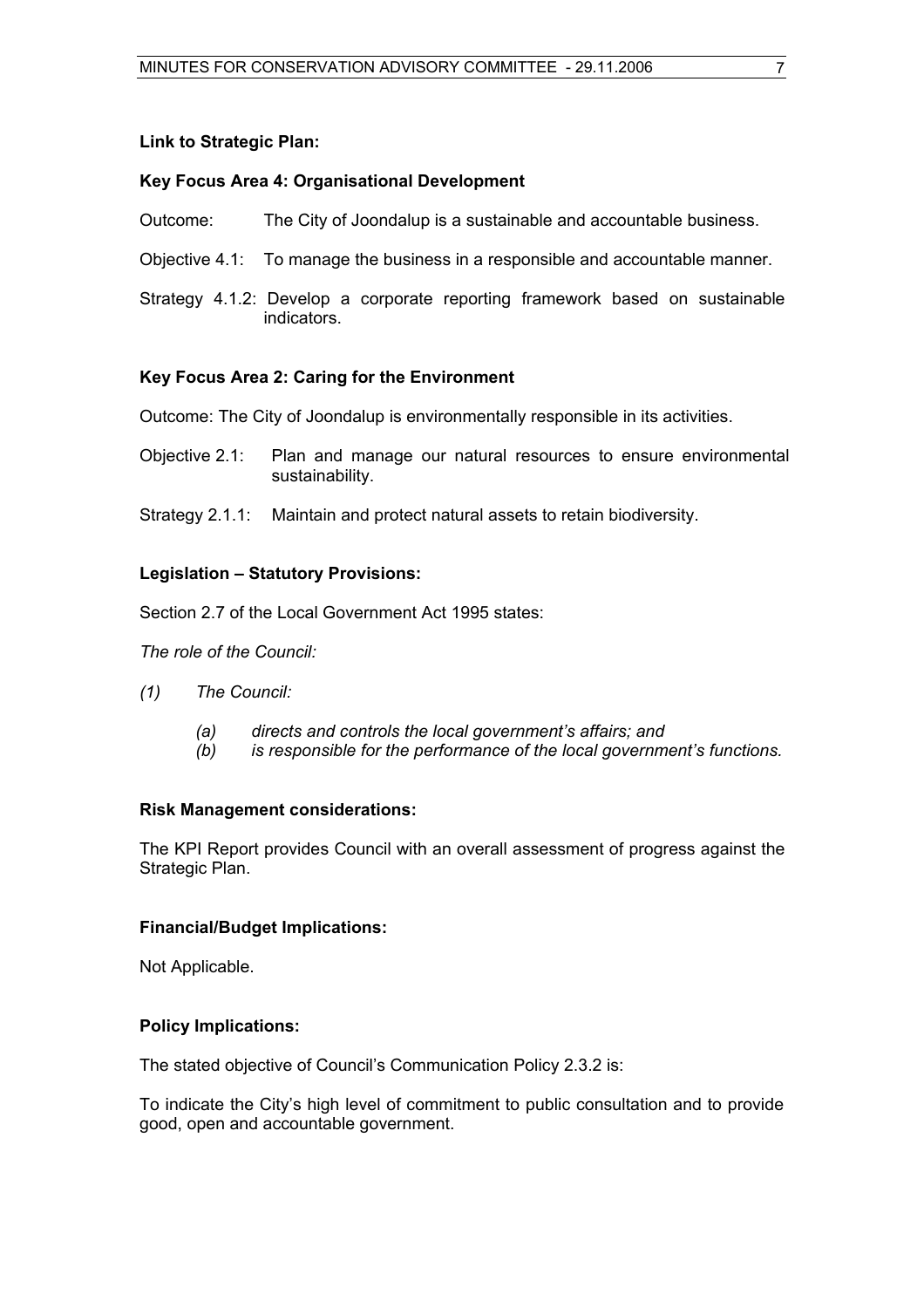#### **Link to Strategic Plan:**

#### **Key Focus Area 4: Organisational Development**

- Outcome: The City of Joondalup is a sustainable and accountable business.
- Objective 4.1: To manage the business in a responsible and accountable manner.
- Strategy 4.1.2: Develop a corporate reporting framework based on sustainable indicators.

### **Key Focus Area 2: Caring for the Environment**

Outcome: The City of Joondalup is environmentally responsible in its activities.

- Objective 2.1: Plan and manage our natural resources to ensure environmental sustainability.
- Strategy 2.1.1: Maintain and protect natural assets to retain biodiversity.

### **Legislation – Statutory Provisions:**

Section 2.7 of the Local Government Act 1995 states:

*The role of the Council:* 

- *(1) The Council:*
	- *(a) directs and controls the local government's affairs; and*
	- *(b) is responsible for the performance of the local government's functions.*

#### **Risk Management considerations:**

The KPI Report provides Council with an overall assessment of progress against the Strategic Plan.

#### **Financial/Budget Implications:**

Not Applicable.

#### **Policy Implications:**

The stated objective of Council's Communication Policy 2.3.2 is:

To indicate the City's high level of commitment to public consultation and to provide good, open and accountable government.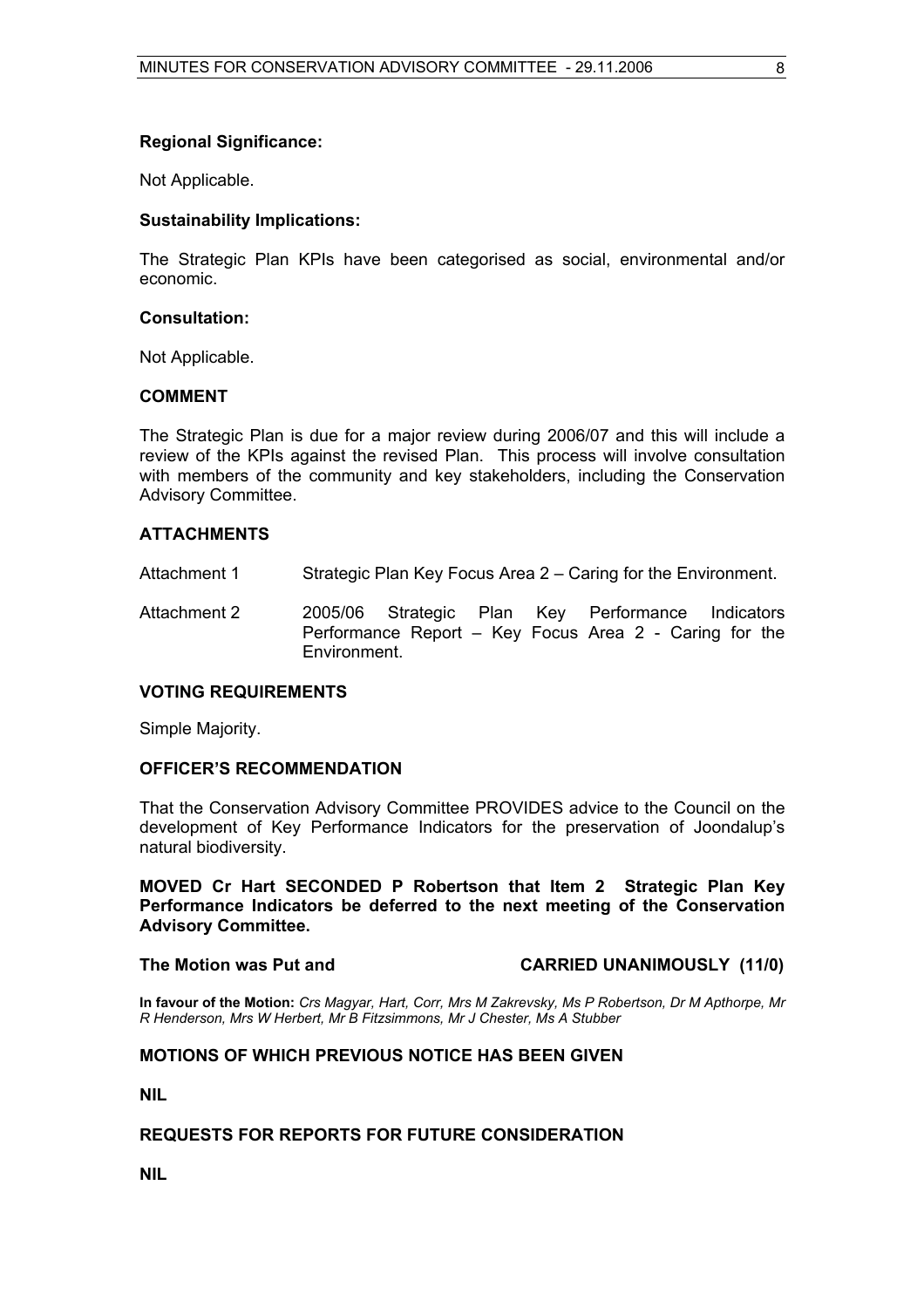#### **Regional Significance:**

Not Applicable.

#### **Sustainability Implications:**

The Strategic Plan KPIs have been categorised as social, environmental and/or economic.

#### **Consultation:**

Not Applicable.

#### **COMMENT**

The Strategic Plan is due for a major review during 2006/07 and this will include a review of the KPIs against the revised Plan. This process will involve consultation with members of the community and key stakeholders, including the Conservation Advisory Committee.

#### **ATTACHMENTS**

- Attachment 1 Strategic Plan Key Focus Area 2 Caring for the Environment.
- Attachment 2 2005/06 Strategic Plan Key Performance Indicators Performance Report – Key Focus Area 2 - Caring for the Environment.

### **VOTING REQUIREMENTS**

Simple Majority.

#### **OFFICER'S RECOMMENDATION**

That the Conservation Advisory Committee PROVIDES advice to the Council on the development of Key Performance Indicators for the preservation of Joondalup's natural biodiversity.

**MOVED Cr Hart SECONDED P Robertson that Item 2 Strategic Plan Key Performance Indicators be deferred to the next meeting of the Conservation Advisory Committee.** 

**The Motion was Put and CARRIED UNANIMOUSLY (11/0)** 

**In favour of the Motion:** *Crs Magyar, Hart, Corr, Mrs M Zakrevsky, Ms P Robertson, Dr M Apthorpe, Mr R Henderson, Mrs W Herbert, Mr B Fitzsimmons, Mr J Chester, Ms A Stubber* 

#### **MOTIONS OF WHICH PREVIOUS NOTICE HAS BEEN GIVEN**

**NIL** 

#### **REQUESTS FOR REPORTS FOR FUTURE CONSIDERATION**

**NIL**